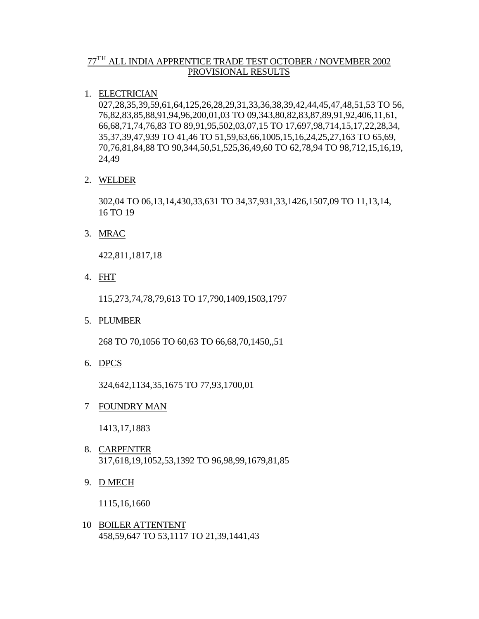# $77^{\mathrm{TH}}$  ALL INDIA APPRENTICE TRADE TEST OCTOBER / NOVEMBER 2002 PROVISIONAL RESULTS

## 1. ELECTRICIAN

027,28,35,39,59,61,64,125,26,28,29,31,33,36,38,39,42,44,45,47,48,51,53 TO 56, 76,82,83,85,88,91,94,96,200,01,03 TO 09,343,80,82,83,87,89,91,92,406,11,61, 66,68,71,74,76,83 TO 89,91,95,502,03,07,15 TO 17,697,98,714,15,17,22,28,34, 35,37,39,47,939 TO 41,46 TO 51,59,63,66,1005,15,16,24,25,27,163 TO 65,69, 70,76,81,84,88 TO 90,344,50,51,525,36,49,60 TO 62,78,94 TO 98,712,15,16,19, 24,49

## 2. WELDER

302,04 TO 06,13,14,430,33,631 TO 34,37,931,33,1426,1507,09 TO 11,13,14, 16 TO 19

3. MRAC

422,811,1817,18

4. FHT

115,273,74,78,79,613 TO 17,790,1409,1503,1797

5. PLUMBER

268 TO 70,1056 TO 60,63 TO 66,68,70,1450,,51

6. DPCS

324,642,1134,35,1675 TO 77,93,1700,01

7 FOUNDRY MAN

1413,17,1883

- 8. CARPENTER 317,618,19,1052,53,1392 TO 96,98,99,1679,81,85
- 9. D MECH

1115,16,1660

 10 BOILER ATTENTENT 458,59,647 TO 53,1117 TO 21,39,1441,43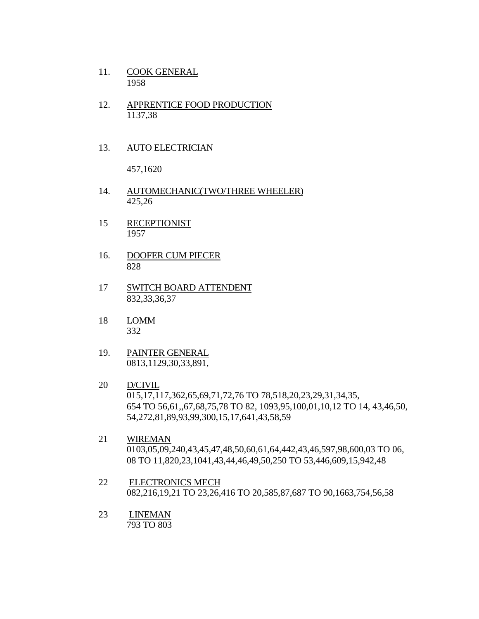- 11. COOK GENERAL 1958
- 12. APPRENTICE FOOD PRODUCTION 1137,38

### 13. AUTO ELECTRICIAN

457,1620

- 14. AUTOMECHANIC(TWO/THREE WHEELER) 425,26
- 15 RECEPTIONIST 1957
- 16. DOOFER CUM PIECER 828
- 17 SWITCH BOARD ATTENDENT 832,33,36,37
- 18 LOMM 332
- 19. PAINTER GENERAL 0813,1129,30,33,891,
- 20 D/CIVIL 015,17,117,362,65,69,71,72,76 TO 78,518,20,23,29,31,34,35, 654 TO 56,61,,67,68,75,78 TO 82, 1093,95,100,01,10,12 TO 14, 43,46,50, 54,272,81,89,93,99,300,15,17,641,43,58,59
- 21 WIREMAN 0103,05,09,240,43,45,47,48,50,60,61,64,442,43,46,597,98,600,03 TO 06, 08 TO 11,820,23,1041,43,44,46,49,50,250 TO 53,446,609,15,942,48
- 22 ELECTRONICS MECH 082,216,19,21 TO 23,26,416 TO 20,585,87,687 TO 90,1663,754,56,58
- 23 LINEMAN 793 TO 803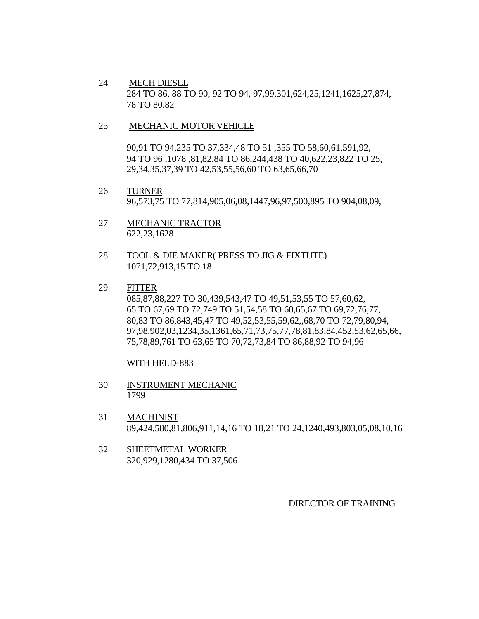24 MECH DIESEL 284 TO 86, 88 TO 90, 92 TO 94, 97,99,301,624,25,1241,1625,27,874, 78 TO 80,82

#### 25 MECHANIC MOTOR VEHICLE

90,91 TO 94,235 TO 37,334,48 TO 51 ,355 TO 58,60,61,591,92, 94 TO 96 ,1078 ,81,82,84 TO 86,244,438 TO 40,622,23,822 TO 25, 29,34,35,37,39 TO 42,53,55,56,60 TO 63,65,66,70

- 26 TURNER 96,573,75 TO 77,814,905,06,08,1447,96,97,500,895 TO 904,08,09,
- 27 MECHANIC TRACTOR 622,23,1628
- 28 TOOL & DIE MAKER( PRESS TO JIG & FIXTUTE) 1071,72,913,15 TO 18
- 29 FITTER 085,87,88,227 TO 30,439,543,47 TO 49,51,53,55 TO 57,60,62, 65 TO 67,69 TO 72,749 TO 51,54,58 TO 60,65,67 TO 69,72,76,77, 80,83 TO 86,843,45,47 TO 49,52,53,55,59,62,,68,70 TO 72,79,80,94, 97,98,902,03,1234,35,1361,65,71,73,75,77,78,81,83,84,452,53,62,65,66, 75,78,89,761 TO 63,65 TO 70,72,73,84 TO 86,88,92 TO 94,96

WITH HELD-883

- 30 INSTRUMENT MECHANIC 1799
- 31 MACHINIST 89,424,580,81,806,911,14,16 TO 18,21 TO 24,1240,493,803,05,08,10,16
- 32 SHEETMETAL WORKER 320,929,1280,434 TO 37,506

#### DIRECTOR OF TRAINING